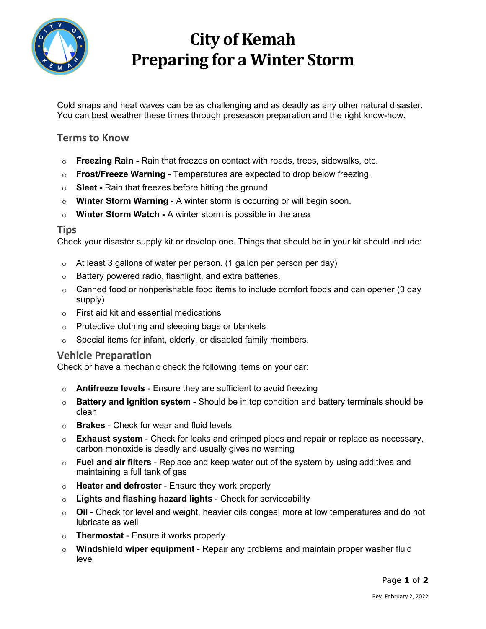

# **City of Kemah Preparing for a Winter Storm**

Cold snaps and heat waves can be as challenging and as deadly as any other natural disaster. You can best weather these times through preseason preparation and the right know-how.

### **Terms to Know**

- o **Freezing Rain -** Rain that freezes on contact with roads, trees, sidewalks, etc.
- o **Frost/Freeze Warning -** Temperatures are expected to drop below freezing.
- o **Sleet -** Rain that freezes before hitting the ground
- o **Winter Storm Warning -** A winter storm is occurring or will begin soon.
- o **Winter Storm Watch -** A winter storm is possible in the area

#### **Tips**

Check your disaster supply kit or develop one. Things that should be in your kit should include:

- $\circ$  At least 3 gallons of water per person. (1 gallon per person per day)
- o Battery powered radio, flashlight, and extra batteries.
- $\circ$  Canned food or nonperishable food items to include comfort foods and can opener (3 day supply)
- o First aid kit and essential medications
- o Protective clothing and sleeping bags or blankets
- $\circ$  Special items for infant, elderly, or disabled family members.

#### **Vehicle Preparation**

Check or have a mechanic check the following items on your car:

- o **Antifreeze levels** Ensure they are sufficient to avoid freezing
- o **Battery and ignition system** Should be in top condition and battery terminals should be clean
- o **Brakes** Check for wear and fluid levels
- o **Exhaust system** Check for leaks and crimped pipes and repair or replace as necessary, carbon monoxide is deadly and usually gives no warning
- o **Fuel and air filters** Replace and keep water out of the system by using additives and maintaining a full tank of gas
- o **Heater and defroster** Ensure they work properly
- o **Lights and flashing hazard lights** Check for serviceability
- o **Oil** Check for level and weight, heavier oils congeal more at low temperatures and do not lubricate as well
- o **Thermostat** Ensure it works properly
- o **Windshield wiper equipment** Repair any problems and maintain proper washer fluid level